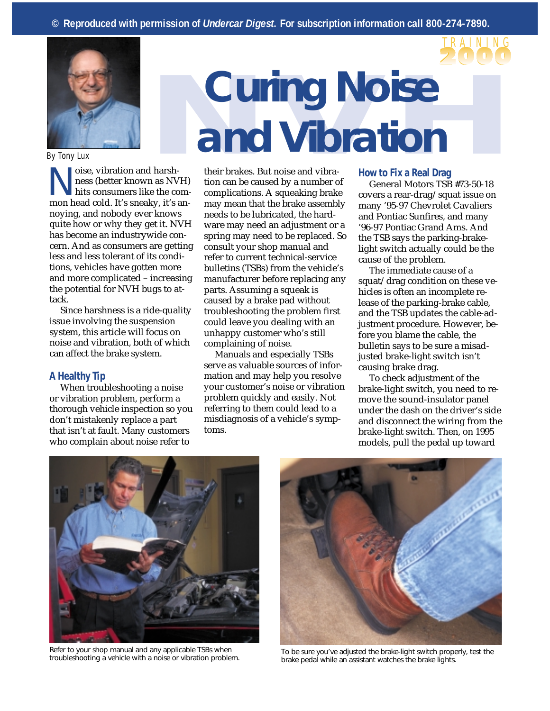



*By Tony Lux*

Noise, vibration and harsh-<br>hess (better known as NV<br>hits consumers like the co ness (better known as NVH) hits consumers like the common head cold. It's sneaky, it's annoying, and nobody ever knows quite how or why they get it. NVH has become an industrywide concern. And as consumers are getting less and less tolerant of its conditions, vehicles have gotten more and more complicated – increasing the potential for NVH bugs to attack.

Since harshness is a ride-quality issue involving the suspension system, this article will focus on noise and vibration, both of which can affect the brake system.

### **A Healthy Tip**

When troubleshooting a noise or vibration problem, perform a thorough vehicle inspection so you don't mistakenly replace a part that isn't at fault. Many customers who complain about noise refer to

## **Curing Noise Curing Noise and Vibration**

their brakes. But noise and vibration can be caused by a number of complications. A squeaking brake may mean that the brake assembly needs to be lubricated, the hardware may need an adjustment or a spring may need to be replaced. So consult your shop manual and refer to current technical-service bulletins (TSBs) from the vehicle's manufacturer before replacing any parts. Assuming a squeak is caused by a brake pad without troubleshooting the problem first could leave you dealing with an unhappy customer who's still complaining of noise.

Manuals and especially TSBs serve as valuable sources of information and may help you resolve your customer's noise or vibration problem quickly and easily. Not referring to them could lead to a misdiagnosis of a vehicle's symptoms.

### **How to Fix a Real Drag**

General Motors TSB #73-50-18 covers a rear-drag/squat issue on many '95-97 Chevrolet Cavaliers and Pontiac Sunfires, and many '96-97 Pontiac Grand Ams. And the TSB says the parking-brakelight switch actually could be the cause of the problem.

The immediate cause of a squat/drag condition on these vehicles is often an incomplete release of the parking-brake cable, and the TSB updates the cable-adjustment procedure. However, before you blame the cable, the bulletin says to be sure a misadjusted brake-light switch isn't causing brake drag.

To check adjustment of the brake-light switch, you need to remove the sound-insulator panel under the dash on the driver's side and disconnect the wiring from the brake-light switch. Then, on 1995 models, pull the pedal up toward



Refer to your shop manual and any applicable TSBs when



Refer to your shop manual and any applicable TSBs when To be sure you've adjusted the brake-light switch properly, test the troubleshooting a vehicle with a noise or vibration problem. brake pedal while an assistant watches the brake lights.